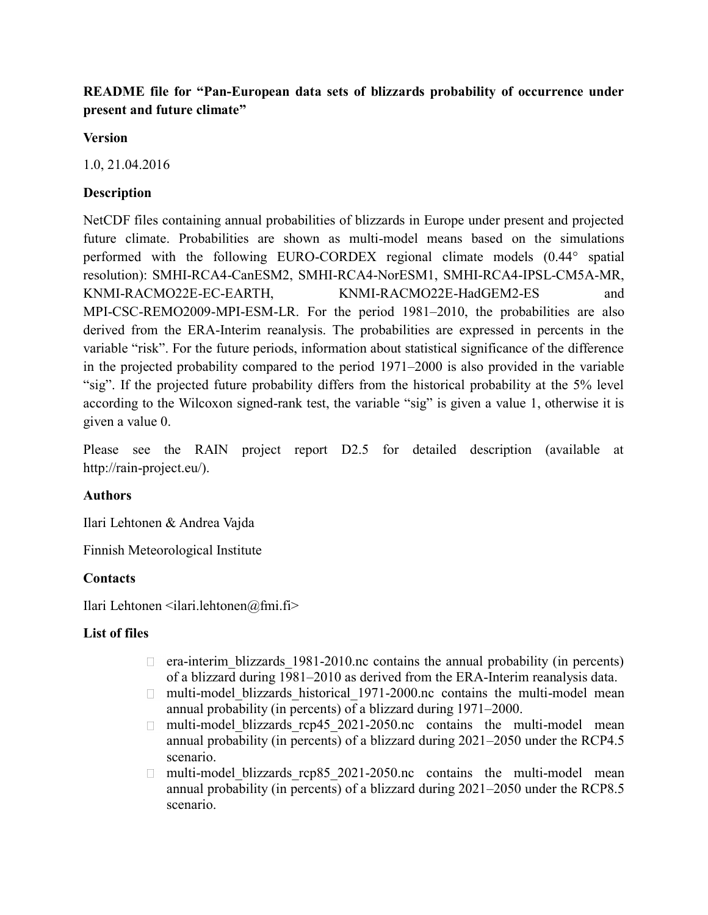# **README file for "Pan-European data sets of blizzards probability of occurrence under present and future climate"**

#### **Version**

1.0, 21.04.2016

# **Description**

NetCDF files containing annual probabilities of blizzards in Europe under present and projected future climate. Probabilities are shown as multi-model means based on the simulations performed with the following EURO-CORDEX regional climate models (0.44° spatial resolution): SMHI-RCA4-CanESM2, SMHI-RCA4-NorESM1, SMHI-RCA4-IPSL-CM5A-MR, KNMI-RACMO22E-EC-EARTH, KNMI-RACMO22E-HadGEM2-ES and MPI-CSC-REMO2009-MPI-ESM-LR. For the period 1981–2010, the probabilities are also derived from the ERA-Interim reanalysis. The probabilities are expressed in percents in the variable "risk". For the future periods, information about statistical significance of the difference in the projected probability compared to the period 1971–2000 is also provided in the variable "sig". If the projected future probability differs from the historical probability at the 5% level according to the Wilcoxon signed-rank test, the variable "sig" is given a value 1, otherwise it is given a value 0.

Please see the RAIN project report D2.5 for detailed description (available at http://rain-project.eu/).

## **Authors**

Ilari Lehtonen & Andrea Vajda

Finnish Meteorological Institute

## **Contacts**

Ilari Lehtonen  $\leq$ ilari.lehtonen $\omega$ fmi.fi>

## **List of files**

- $\Box$  era-interim blizzards 1981-2010.nc contains the annual probability (in percents) of a blizzard during 1981–2010 as derived from the ERA-Interim reanalysis data.
- $\Box$  multi-model blizzards historical 1971-2000.nc contains the multi-model mean annual probability (in percents) of a blizzard during 1971–2000.
- $\Box$  multi-model blizzards rcp45 2021-2050.nc contains the multi-model mean annual probability (in percents) of a blizzard during 2021–2050 under the RCP4.5 scenario.
- multi-model blizzards rcp85 2021-2050.nc contains the multi-model mean  $\Box$  . annual probability (in percents) of a blizzard during 2021–2050 under the RCP8.5 scenario.